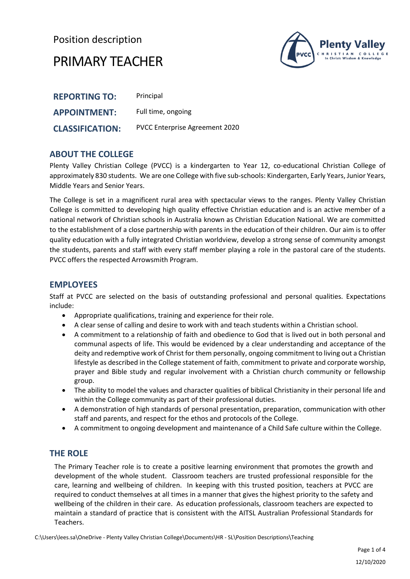## Position description



## PRIMARY TEACHER

| <b>REPORTING TO:</b>   | Principal                             |
|------------------------|---------------------------------------|
| <b>APPOINTMENT:</b>    | Full time, ongoing                    |
| <b>CLASSIFICATION:</b> | <b>PVCC Enterprise Agreement 2020</b> |

#### **ABOUT THE COLLEGE**

Plenty Valley Christian College (PVCC) is a kindergarten to Year 12, co-educational Christian College of approximately 830 students. We are one College with five sub-schools: Kindergarten, Early Years, Junior Years, Middle Years and Senior Years.

The College is set in a magnificent rural area with spectacular views to the ranges. Plenty Valley Christian College is committed to developing high quality effective Christian education and is an active member of a national network of Christian schools in Australia known as Christian Education National. We are committed to the establishment of a close partnership with parents in the education of their children. Our aim is to offer quality education with a fully integrated Christian worldview, develop a strong sense of community amongst the students, parents and staff with every staff member playing a role in the pastoral care of the students. PVCC offers the respected [Arrowsmith Program.](http://www.pvcc.vic.edu.au/Enrolments/The-Arrowsmith-Program/)

#### **EMPLOYEES**

Staff at PVCC are selected on the basis of outstanding professional and personal qualities. Expectations include:

- Appropriate qualifications, training and experience for their role.
- A clear sense of calling and desire to work with and teach students within a Christian school.
- A commitment to a relationship of faith and obedience to God that is lived out in both personal and communal aspects of life. This would be evidenced by a clear understanding and acceptance of the deity and redemptive work of Christ for them personally, ongoing commitment to living out a Christian lifestyle as described in the College statement of faith, commitment to private and corporate worship, prayer and Bible study and regular involvement with a Christian church community or fellowship group.
- The ability to model the values and character qualities of biblical Christianity in their personal life and within the College community as part of their professional duties.
- A demonstration of high standards of personal presentation, preparation, communication with other staff and parents, and respect for the ethos and protocols of the College.
- A commitment to ongoing development and maintenance of a Child Safe culture within the College.

#### **THE ROLE**

The Primary Teacher role is to create a positive learning environment that promotes the growth and development of the whole student. Classroom teachers are trusted professional responsible for the care, learning and wellbeing of children. In keeping with this trusted position, teachers at PVCC are required to conduct themselves at all times in a manner that gives the highest priority to the safety and wellbeing of the children in their care. As education professionals, classroom teachers are expected to maintain a standard of practice that is consistent with the AITSL Australian Professional Standards for Teachers.

C:\Users\lees.sa\OneDrive - Plenty Valley Christian College\Documents\HR - SL\Position Descriptions\Teaching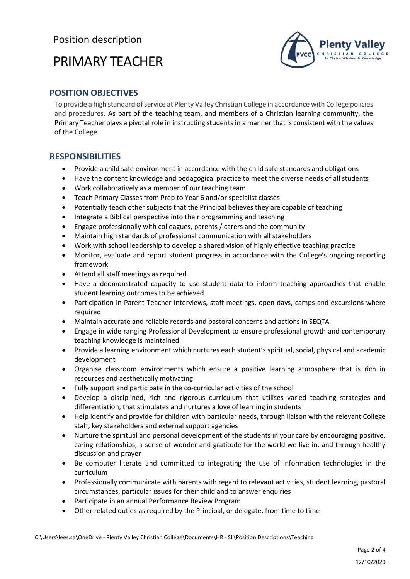# PRIMARY TEACHER



### **POSITION OBJECTIVES**

To provide a high standard of service at Plenty Valley Christian College in accordance with College policies and procedures. As part of the teaching team, and members of a Christian learning community, the Primary Teacher plays a pivotal role in instructing students in a manner that is consistent with the values of the College.

#### **RESPONSIBILITIES**

- Provide a child safe environment in accordance with the child safe standards and obligations
- Have the content knowledge and pedagogical practice to meet the diverse needs of all students
- Work collaboratively as a member of our teaching team
- Teach Primary Classes from Prep to Year 6 and/or specialist classes
- Potentially teach other subjects that the Principal believes they are capable of teaching
- Integrate a Biblical perspective into their programming and teaching
- Engage professionally with colleagues, parents / carers and the community
- Maintain high standards of professional communication with all stakeholders
- Work with school leadership to develop a shared vision of highly effective teaching practice
- Monitor, evaluate and report student progress in accordance with the College's ongoing reporting framework
- Attend all staff meetings as required
- Have a deomonstrated capacity to use student data to inform teaching approaches that enable student learning outcomes to be achieved
- Participation in Parent Teacher Interviews, staff meetings, open days, camps and excursions where required
- Maintain accurate and reliable records and pastoral concerns and actions in SEQTA
- Engage in wide ranging Professional Development to ensure professional growth and contemporary teaching knowledge is maintained
- Provide a learning environment which nurtures each student's spiritual, social, physical and academic development
- Organise classroom environments which ensure a positive learning atmosphere that is rich in resources and aesthetically motivating
- Fully support and participate in the co-curricular activities of the school
- Develop a disciplined, rich and rigorous curriculum that utilises varied teaching strategies and differentiation, that stimulates and nurtures a love of learning in students
- Help identify and provide for children with particular needs, through liaison with the relevant College staff, key stakeholders and external support agencies
- Nurture the spiritual and personal development of the students in your care by encouraging positive, caring relationships, a sense of wonder and gratitude for the world we live in, and through healthy discussion and prayer
- Be computer literate and committed to integrating the use of information technologies in the curriculum
- Professionally communicate with parents with regard to relevant activities, student learning, pastoral circumstances, particular issues for their child and to answer enquiries
- Participate in an annual Performance Review Program
- Other related duties as required by the Principal, or delegate, from time to time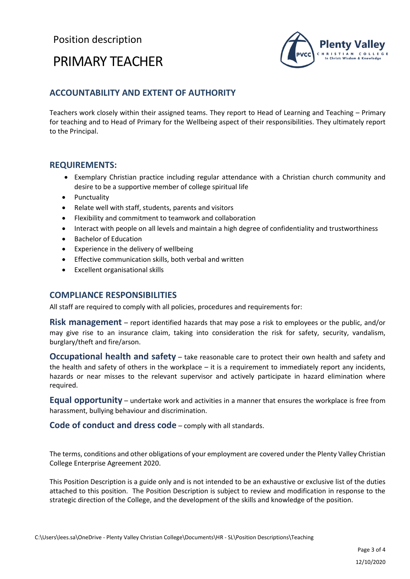# PRIMARY TEACHER



### **ACCOUNTABILITY AND EXTENT OF AUTHORITY**

Teachers work closely within their assigned teams. They report to Head of Learning and Teaching – Primary for teaching and to Head of Primary for the Wellbeing aspect of their responsibilities. They ultimately report to the Principal.

#### **REQUIREMENTS:**

- Exemplary Christian practice including regular attendance with a Christian church community and desire to be a supportive member of college spiritual life
- Punctuality
- Relate well with staff, students, parents and visitors
- Flexibility and commitment to teamwork and collaboration
- Interact with people on all levels and maintain a high degree of confidentiality and trustworthiness
- Bachelor of Education
- Experience in the delivery of wellbeing
- Effective communication skills, both verbal and written
- Excellent organisational skills

#### **COMPLIANCE RESPONSIBILITIES**

All staff are required to comply with all policies, procedures and requirements for:

**Risk management** – report identified hazards that may pose a risk to employees or the public, and/or may give rise to an insurance claim, taking into consideration the risk for safety, security, vandalism, burglary/theft and fire/arson.

**Occupational health and safety** – take reasonable care to protect their own health and safety and the health and safety of others in the workplace – it is a requirement to immediately report any incidents, hazards or near misses to the relevant supervisor and actively participate in hazard elimination where required.

**Equal opportunity** – undertake work and activities in a manner that ensures the workplace is free from harassment, bullying behaviour and discrimination.

**Code of conduct and dress code** – comply with all standards.

The terms, conditions and other obligations of your employment are covered under the Plenty Valley Christian College Enterprise Agreement 2020.

This Position Description is a guide only and is not intended to be an exhaustive or exclusive list of the duties attached to this position. The Position Description is subject to review and modification in response to the strategic direction of the College, and the development of the skills and knowledge of the position.